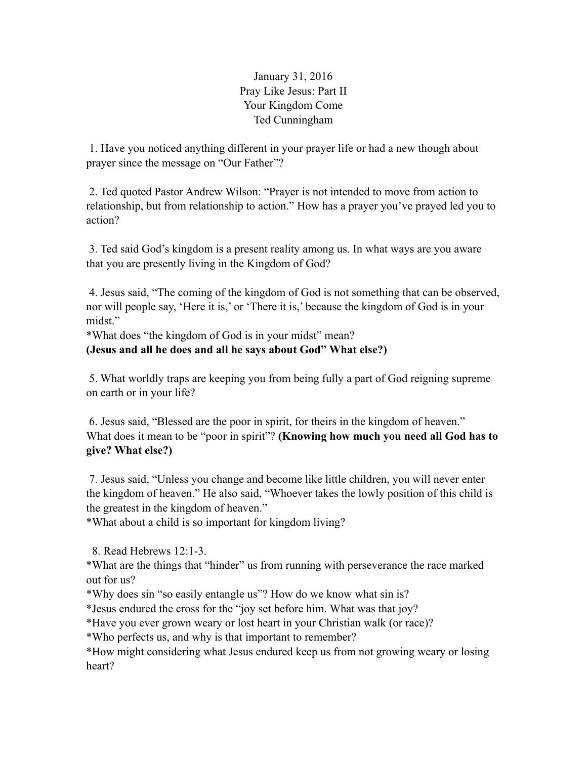January 31, 2016 Pray Like Jesus: Part II Your Kingdom Come Ted Cunningham

 1. Have you noticed anything different in your prayer life or had a new though about prayer since the message on "Our Father"?

 2. Ted quoted Pastor Andrew Wilson: "Prayer is not intended to move from action to relationship, but from relationship to action." How has a prayer you've prayed led you to action?

 3. Ted said God's kingdom is a present reality among us. In what ways are you aware that you are presently living in the Kingdom of God?

 4. Jesus said, "The coming of the kingdom of God is not something that can be observed, nor will people say, 'Here it is,' or 'There it is,' because the kingdom of God is in your midst."

\*What does "the kingdom of God is in your midst" mean?

**(Jesus and all he does and all he says about God" What else?)** 

 5. What worldly traps are keeping you from being fully a part of God reigning supreme on earth or in your life?

 6. Jesus said, "Blessed are the poor in spirit, for theirs in the kingdom of heaven." What does it mean to be "poor in spirit"? **(Knowing how much you need all God has to give? What else?)** 

7. Jesus said, "Unless you change and become like little children, you will never enter the kingdom of heaven." He also said, "Whoever takes the lowly position of this child is the greatest in the kingdom of heaven."

\*What about a child is so important for kingdom living?

8. Read Hebrews 12:1-3.

\*What are the things that "hinder" us from running with perseverance the race marked out for us?

\*Why does sin "so easily entangle us"? How do we know what sin is?

\*Jesus endured the cross for the "joy set before him. What was that joy?

\*Have you ever grown weary or lost heart in your Christian walk (or race)?

\*Who perfects us, and why is that important to remember?

\*How might considering what Jesus endured keep us from not growing weary or losing heart?